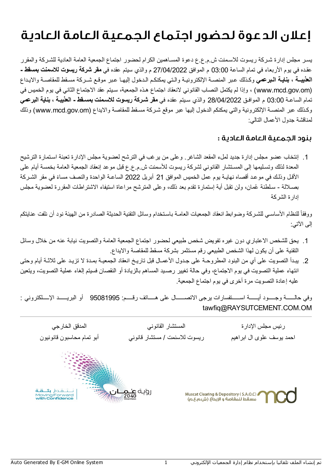## إعلان الدعوةلحضور اجتماع الجمعية العامة العادية

یسـر مجلس إدارة شـركة ریسوت للاسـمنت ش.م.ع.ع دعوة المسـاھمین الكرام لحضور اجتماع الجمعیة العامة العادیة للشـركة والمقرر عقـده في یوم الأربعاء في تمام الساعة 03:00 م الموافق 27/04/2022 م والذي سیتم عقده في **مقر شركة ریسوت للاسمنت بمسقط - العذیبــة ، بنایـة الـبرعمي** وكـذلك عـبر المنصـة الإلكترونیـة والـتي یمكنكـم الـدخول إلیھـا عـبر موقـع شــركة مسـقط للمقاصـة والایـداع (om.gov.mcd.www (، وإذا لم یكتمل النصاب القانوني لانعقاد اجتماع ھـذه الجمعیة، سـیتم عقد الاجتماع الثاني في یوم الخمیس في تمام الساعـة 03:00 م الموافـق 28/04/2022 والذي سـیتم عقده في **مقر شـركة ریسوت للاسـمنت بمسـقط - العذیبـة ، بنایة البرعمي** وكـذلك عبر المنصـة الإلكترونیة والتي یمكنكم الدخول إلیھا عبر موقع شـركة مسـقط للمقاصة والایداع (om.gov.mcd.www (وذلك لمناقشة جدول الأعمال التالي:

## بنود الجمعية العامة العادية :

.1 إنتخاب عضو مجلس إدارة جدید لملء المقعد الشاغر. وعلى من یرغب في الترشح لعضویة مجلس الإدارة تعبئة اسـتمارة الترشیح المعدة لذلك وتسـلیمھا إلى المسـتشار القانوني لشركة ریسوت للأسمنت ش.م.ع.ع قبل موعد إنعقاد الجمعیة العامة بخمسة أیام على الأقـل وذلـك في موعـد أقصاه نھایـة یوم عمل الخمیس الموافق 21 أبریل 2022 الساعـة الواحدة والنصف مسا ًء في مقر الشـركة بصـلالة - سـلطنة ُعمان، ولن تقبل أیة إستمارة تقدم بعد ذلك، وعلى المترشح مراعاة استیفاء الاشتراطات المقررة لعضویة مجلس إدارة الشركة

ووفقاً للنظام الأساسـي للشـركـة وضـوابط انعقاد الجمعيات العامـة بـاسـتخدام وسائل التقنية الحديثـة الصـادرة من الهيئـة نود أن نلفت عنايتكم إلى الآتي:

- .1 یحق للشخص الاعتباري دون غیره تفویض شخص طبیعي لحضور اجتماع الجمعیة العامة والتصویت نیابة عنھ من خلال وسائل التقنیة على أن یكون لھذا الشخص الطبیعي رقم مستثمر بشركة مسقط للمقاصة والایداع.
- .2 یبـدأ التصویت على أي من البنود المطروحـة على جـدول الأعمـال قبل تاریـخ انعقاد الجمعیـة بمـدة لا تزیـد على ثلاثـة أیام وحتى انتھاء عملیة التصویت في یوم الاجتماع، وفي حالة تغییر رصـید المساھم بالزیادة أو النقصان فسیتم إلغاء عملیة التصویت، ویتعین علیھ إعادة التصویت مرة أخرى في یوم اجتماع الجمعیة.

وفي حالــــــة وجـــــود أیــــــة اســــــتفسارات یرجى الاتصــــــال على ھـــــاتف رقـــــم: 95081995 أو البریــــــد الإـــــلكتروني : tawfiq@RAYSUTCEMENT.COM.OM

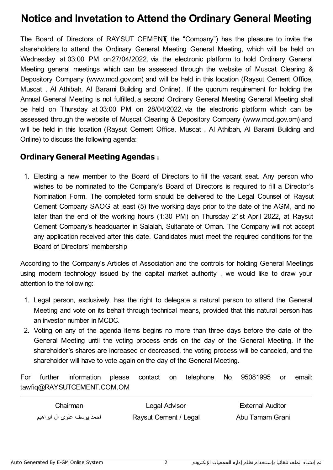## **Notice and Invetation to Attend the Ordinary General Meeting**

The Board of Directors of RAYSUT CEMENT( the "Company") has the pleasure to invite the shareholders to attend the Ordinary General Meeting General Meeting, which will be held on Wednesday at 03:00 PM on27/04/2022, via the electronic platform to hold Ordinary General Meeting general meetings which can be assessed through the website of Muscat Clearing & Depository Company (www.mcd.gov.om) and will be held in this location (Raysut Cement Office, Muscat , Al Athibah, Al Barami Building and Online). If the quorum requirement for holding the Annual General Meeting is not fulfilled, a second Ordinary General Meeting General Meeting shall be held on Thursday at 03:00 PM on 28/04/2022, via the electronic platform which can be assessed through the website of Muscat Clearing & Depository Company (www.mcd.gov.om) and will be held in this location (Raysut Cement Office, Muscat , Al Athibah, Al Barami Building and Online) to discuss the following agenda:

## **Ordinary General Meeting Agendas** :

1. Electing a new member to the Board of Directors to fill the vacant seat. Any person who wishes to be nominated to the Company's Board of Directors is required to fill a Director's Nomination Form. The completed form should be delivered to the Legal Counsel of Raysut Cement Company SAOG at least (5) five working days prior to the date of the AGM, and no later than the end of the working hours (1:30 PM) on Thursday 21st April 2022, at Raysut Cement Company's headquarter in Salalah, Sultanate of Oman. The Company will not accept any application received after this date. Candidates must meet the required conditions for the Board of Directors' membership

According to the Company's Articles of Association and the controls for holding General Meetings using modern technology issued by the capital market authority , we would like to draw your attention to the following:

- 1. Legal person, exclusively, has the right to delegate a natural person to attend the General Meeting and vote on its behalf through technical means, provided that this natural person has an investor number in MCDC.
- 2. Voting on any of the agenda items begins no more than three days before the date of the General Meeting until the voting process ends on the day of the General Meeting. If the shareholder's shares are increased or decreased, the voting process will be canceled, and the shareholder will have to vote again on the day of the General Meeting.

For further information please contact on telephone No 95081995 or email: tawfiq@RAYSUTCEMENT.COM.OM

| Chairman                  | Legal Advisor         | <b>External Auditor</b> |
|---------------------------|-----------------------|-------------------------|
| احمد يوسف علوى ال ابراهيم | Raysut Cement / Legal | Abu Tamam Grani         |